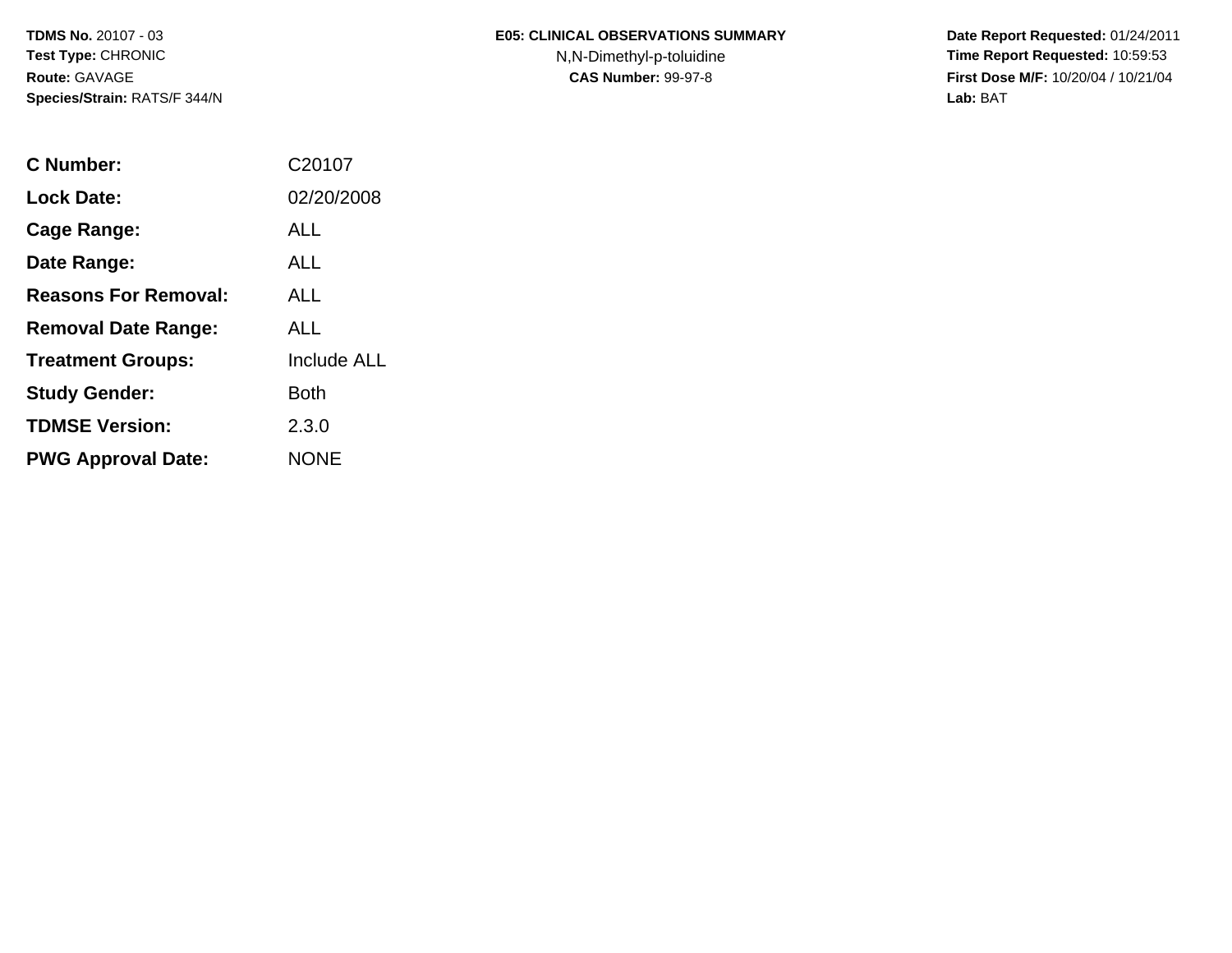**TDMS No.** 20107 - 03**Test Type:** CHRONIC**Route:** GAVAGE**Species/Strain:** RATS/F 344/N

## **E05: CLINICAL OBSERVATIONS SUMMARY**

N,N-Dimethyl-p-toluidine

 **Date Report Requested:** 01/24/2011 **Time Report Requested:** 10:59:53 **First Dose M/F:** 10/20/04 / 10/21/04<br>**Lab:** BAT **Lab:** BAT

| C Number:                   | C <sub>2010</sub> 7 |
|-----------------------------|---------------------|
| Lock Date:                  | 02/20/2008          |
| <b>Cage Range:</b>          | ALL                 |
| Date Range:                 | ALL                 |
| <b>Reasons For Removal:</b> | AI I                |
| <b>Removal Date Range:</b>  | ALL                 |
| <b>Treatment Groups:</b>    | <b>Include ALL</b>  |
| <b>Study Gender:</b>        | <b>Both</b>         |
| <b>TDMSE Version:</b>       | 2.3.0               |
| <b>PWG Approval Date:</b>   | <b>NONE</b>         |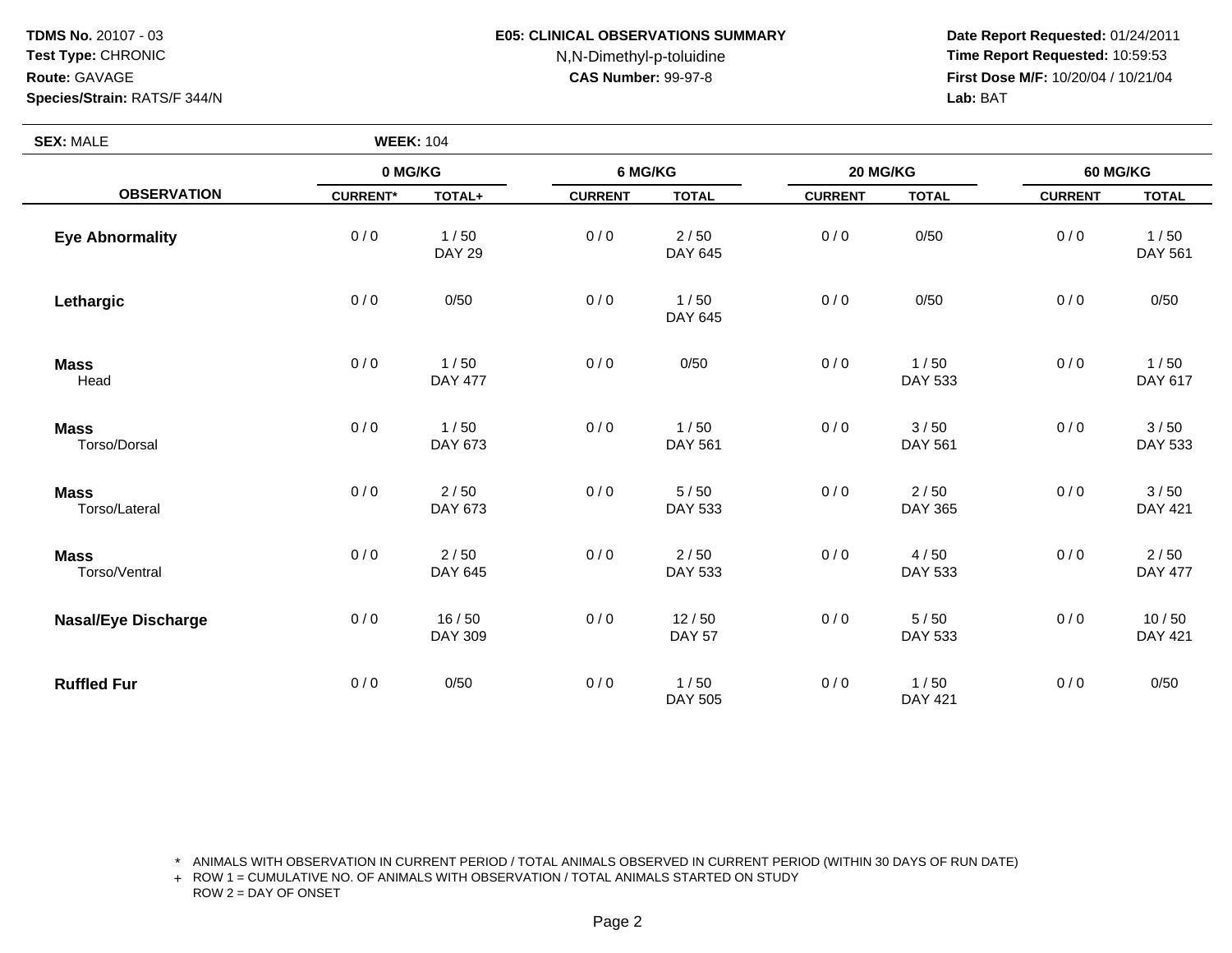**TDMS No.** 20107 - 03**Test Type:** CHRONIC

#### **E05: CLINICAL OBSERVATIONS SUMMARY**

# N,N-Dimethyl-p-toluidine

 **Date Report Requested:** 01/24/2011 **Time Report Requested:** 10:59:53 **First Dose M/F:** 10/20/04 / 10/21/04<br>**Lab: BAT** 

## **Eye AbnormalityRoute:** GAVAGE**Species/Strain:** RATS/F 344/N **Lab:** BAT **SEX:** MALE **WEEK:** <sup>104</sup> **0 MG/KG 6 MG/KG 20 MG/KG 60 MG/KG OBSERVATIONCURRENT\* TOTAL+ CURRENT TOTAL CURRENT TOTAL CURRENT TOTAL**

| <b>Eye Abnormality</b>       | 0/0 | 1/50<br><b>DAY 29</b>  | 0/0 | 2/50<br>DAY 645        | 0/0 | 0/50            | 0/0 | 1/50<br>DAY 561        |
|------------------------------|-----|------------------------|-----|------------------------|-----|-----------------|-----|------------------------|
| Lethargic                    | 0/0 | 0/50                   | 0/0 | 1/50<br>DAY 645        | 0/0 | 0/50            | 0/0 | 0/50                   |
| <b>Mass</b><br>Head          | 0/0 | 1/50<br><b>DAY 477</b> | 0/0 | 0/50                   | 0/0 | 1/50<br>DAY 533 | 0/0 | 1/50<br>DAY 617        |
| <b>Mass</b><br>Torso/Dorsal  | 0/0 | 1/50<br>DAY 673        | 0/0 | 1/50<br>DAY 561        | 0/0 | 3/50<br>DAY 561 | 0/0 | 3/50<br>DAY 533        |
| <b>Mass</b><br>Torso/Lateral | 0/0 | 2/50<br>DAY 673        | 0/0 | 5/50<br>DAY 533        | 0/0 | 2/50<br>DAY 365 | 0/0 | 3/50<br>DAY 421        |
| <b>Mass</b><br>Torso/Ventral | 0/0 | 2/50<br>DAY 645        | 0/0 | 2/50<br>DAY 533        | 0/0 | 4/50<br>DAY 533 | 0/0 | 2/50<br><b>DAY 477</b> |
| <b>Nasal/Eye Discharge</b>   | 0/0 | 16/50<br>DAY 309       | 0/0 | 12/50<br><b>DAY 57</b> | 0/0 | 5/50<br>DAY 533 | 0/0 | 10/50<br>DAY 421       |
| <b>Ruffled Fur</b>           | 0/0 | 0/50                   | 0/0 | 1/50<br>DAY 505        | 0/0 | 1/50<br>DAY 421 | 0/0 | 0/50                   |

\* ANIMALS WITH OBSERVATION IN CURRENT PERIOD / TOTAL ANIMALS OBSERVED IN CURRENT PERIOD (WITHIN 30 DAYS OF RUN DATE)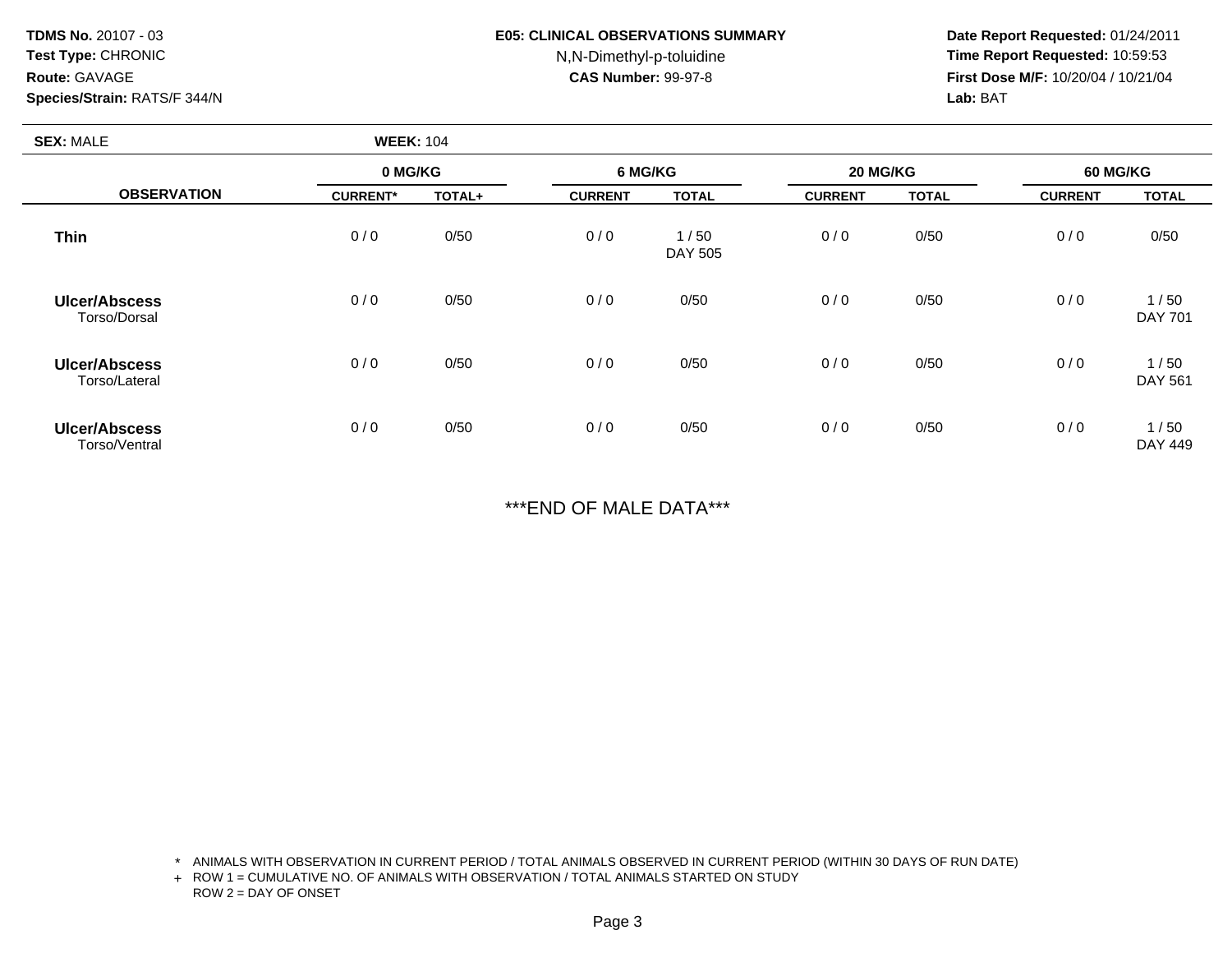**TDMS No.** 20107 - 03**Test Type:** CHRONIC**Route:** GAVAGE**Species/Strain:** RATS/F 344/N

#### **E05: CLINICAL OBSERVATIONS SUMMARY**

# N,N-Dimethyl-p-toluidine

 **Date Report Requested:** 01/24/2011 **Time Report Requested:** 10:59:53 **First Dose M/F:** 10/20/04 / 10/21/04<br>**Lab:** BAT **Lab:** BAT

|                                                                                                                                        | <b>WEEK: 104</b> |        |                |                 |                |              |                |                        |
|----------------------------------------------------------------------------------------------------------------------------------------|------------------|--------|----------------|-----------------|----------------|--------------|----------------|------------------------|
| <b>SEX: MALE</b><br><b>OBSERVATION</b><br><b>Thin</b><br><b>Ulcer/Abscess</b><br>Torso/Dorsal<br><b>Ulcer/Abscess</b><br>Torso/Lateral | 0 MG/KG          |        | 6 MG/KG        |                 | 20 MG/KG       |              | 60 MG/KG       |                        |
|                                                                                                                                        | <b>CURRENT*</b>  | TOTAL+ | <b>CURRENT</b> | <b>TOTAL</b>    | <b>CURRENT</b> | <b>TOTAL</b> | <b>CURRENT</b> | <b>TOTAL</b>           |
|                                                                                                                                        | 0/0              | 0/50   | 0/0            | 1/50<br>DAY 505 | 0/0            | 0/50         | 0/0            | 0/50                   |
|                                                                                                                                        | 0/0              | 0/50   | 0/0            | 0/50            | 0/0            | 0/50         | 0/0            | 1/50<br><b>DAY 701</b> |
|                                                                                                                                        | 0/0              | 0/50   | 0/0            | 0/50            | 0/0            | 0/50         | 0/0            | 1/50<br>DAY 561        |
| <b>Ulcer/Abscess</b><br>Torso/Ventral                                                                                                  | 0/0              | 0/50   | 0/0            | 0/50            | 0/0            | 0/50         | 0/0            | 1/50<br>DAY 449        |

\*\*\*END OF MALE DATA\*\*\*

\* ANIMALS WITH OBSERVATION IN CURRENT PERIOD / TOTAL ANIMALS OBSERVED IN CURRENT PERIOD (WITHIN 30 DAYS OF RUN DATE)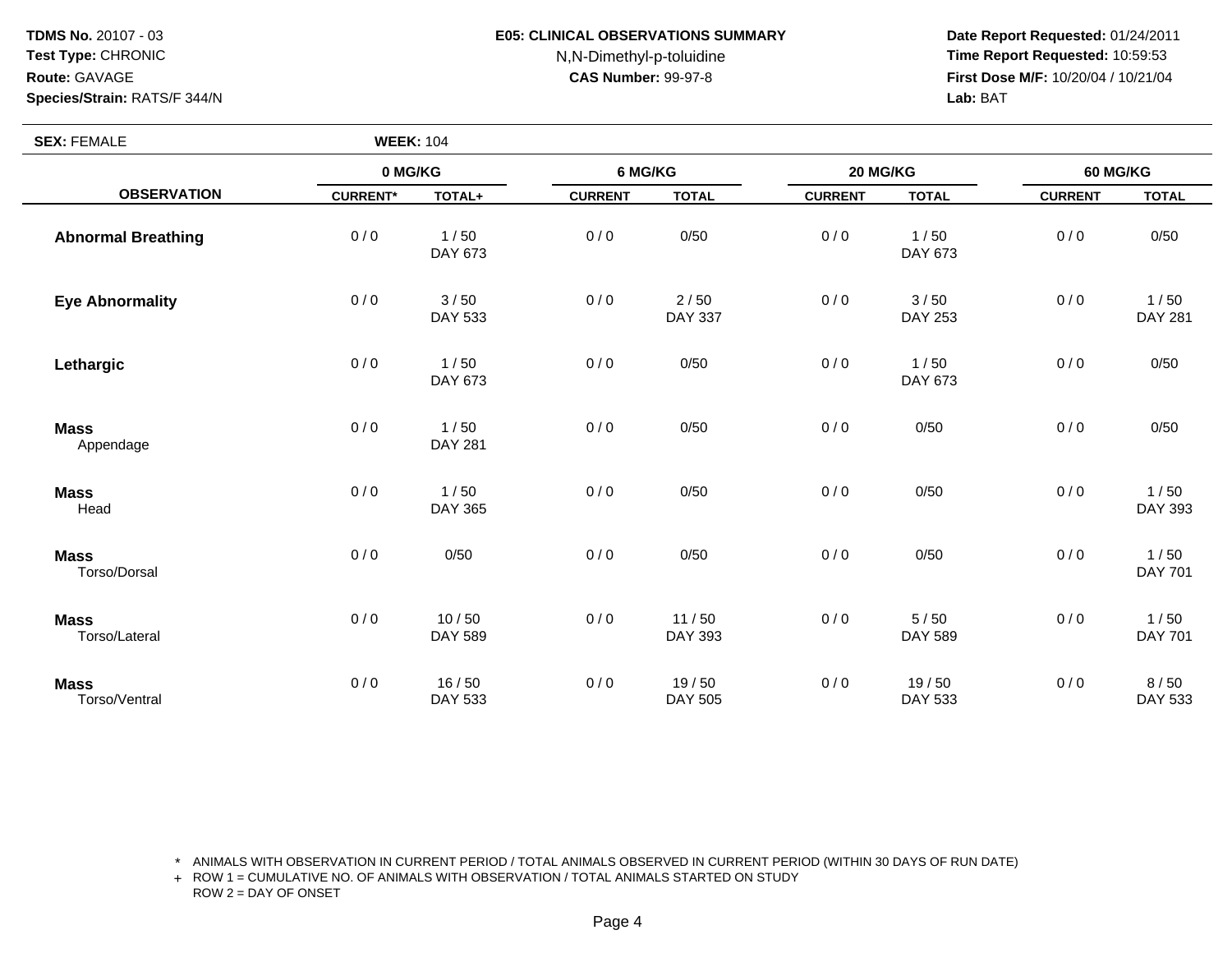**TDMS No.** 20107 - 03**Test Type:** CHRONIC

### **E05: CLINICAL OBSERVATIONS SUMMARY**

# N,N-Dimethyl-p-toluidine

 **Date Report Requested:** 01/24/2011 **Time Report Requested:** 10:59:53 **First Dose M/F:** 10/20/04 / 10/21/04<br>**Lab: BAT** 

## **Route:** GAVAGE**Species/Strain:** RATS/F 344/N **Lab:** BAT **SEX:** FEMALE **WEEK:** <sup>104</sup> **0 MG/KG 6 MG/KG 20 MG/KG 60 MG/KG OBSERVATIONCURRENT\* TOTAL+ CURRENT TOTAL CURRENT TOTAL CURRENT TOTAL**

| <b>Abnormal Breathing</b>    | 0/0 | 1/50<br>DAY 673        | 0/0 | 0/50                   | 0/0 | 1/50<br>DAY 673        | 0/0 | 0/50                   |
|------------------------------|-----|------------------------|-----|------------------------|-----|------------------------|-----|------------------------|
| <b>Eye Abnormality</b>       | 0/0 | 3/50<br>DAY 533        | 0/0 | 2/50<br><b>DAY 337</b> | 0/0 | 3/50<br><b>DAY 253</b> | 0/0 | 1/50<br><b>DAY 281</b> |
| Lethargic                    | 0/0 | 1/50<br>DAY 673        | 0/0 | 0/50                   | 0/0 | 1/50<br>DAY 673        | 0/0 | 0/50                   |
| <b>Mass</b><br>Appendage     | 0/0 | 1/50<br><b>DAY 281</b> | 0/0 | 0/50                   | 0/0 | 0/50                   | 0/0 | 0/50                   |
| <b>Mass</b><br>Head          | 0/0 | 1/50<br>DAY 365        | 0/0 | 0/50                   | 0/0 | 0/50                   | 0/0 | 1/50<br>DAY 393        |
| <b>Mass</b><br>Torso/Dorsal  | 0/0 | 0/50                   | 0/0 | 0/50                   | 0/0 | 0/50                   | 0/0 | 1/50<br><b>DAY 701</b> |
| <b>Mass</b><br>Torso/Lateral | 0/0 | 10/50<br>DAY 589       | 0/0 | 11/50<br>DAY 393       | 0/0 | 5/50<br>DAY 589        | 0/0 | 1/50<br>DAY 701        |
| <b>Mass</b><br>Torso/Ventral | 0/0 | 16/50<br>DAY 533       | 0/0 | 19/50<br>DAY 505       | 0/0 | 19/50<br>DAY 533       | 0/0 | 8/50<br>DAY 533        |

\* ANIMALS WITH OBSERVATION IN CURRENT PERIOD / TOTAL ANIMALS OBSERVED IN CURRENT PERIOD (WITHIN 30 DAYS OF RUN DATE)